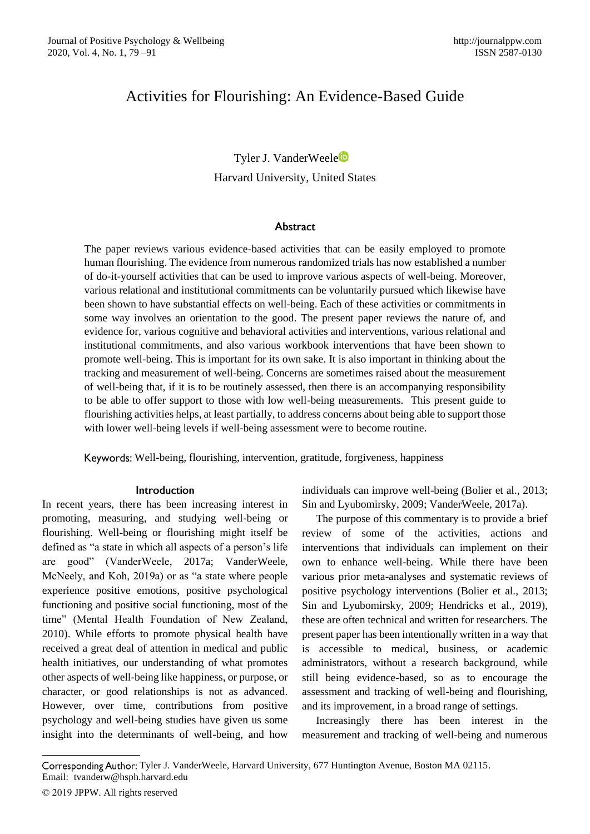# Activities for Flourishing: An Evidence-Based Guide

# Tyler J. VanderWeele Harvard University, United States

## **Abstract**

The paper reviews various evidence-based activities that can be easily employed to promote human flourishing. The evidence from numerous randomized trials has now established a number of do-it-yourself activities that can be used to improve various aspects of well-being. Moreover, various relational and institutional commitments can be voluntarily pursued which likewise have been shown to have substantial effects on well-being. Each of these activities or commitments in some way involves an orientation to the good. The present paper reviews the nature of, and evidence for, various cognitive and behavioral activities and interventions, various relational and institutional commitments, and also various workbook interventions that have been shown to promote well-being. This is important for its own sake. It is also important in thinking about the tracking and measurement of well-being. Concerns are sometimes raised about the measurement of well-being that, if it is to be routinely assessed, then there is an accompanying responsibility to be able to offer support to those with low well-being measurements. This present guide to flourishing activities helps, at least partially, to address concerns about being able to support those with lower well-being levels if well-being assessment were to become routine.

Keywords: Well-being, flourishing, intervention, gratitude, forgiveness, happiness

## Introduction

In recent years, there has been increasing interest in promoting, measuring, and studying well-being or flourishing. Well-being or flourishing might itself be defined as "a state in which all aspects of a person's life are good" (VanderWeele, 2017a; VanderWeele, McNeely, and Koh, 2019a) or as "a state where people experience positive emotions, positive psychological functioning and positive social functioning, most of the time" (Mental Health Foundation of New Zealand, 2010). While efforts to promote physical health have received a great deal of attention in medical and public health initiatives, our understanding of what promotes other aspects of well-being like happiness, or purpose, or character, or good relationships is not as advanced. However, over time, contributions from positive psychology and well-being studies have given us some insight into the determinants of well-being, and how individuals can improve well-being (Bolier et al., 2013; Sin and Lyubomirsky, 2009; VanderWeele, 2017a).

The purpose of this commentary is to provide a brief review of some of the activities, actions and interventions that individuals can implement on their own to enhance well-being. While there have been various prior meta-analyses and systematic reviews of positive psychology interventions (Bolier et al., 2013; Sin and Lyubomirsky, 2009; Hendricks et al., 2019), these are often technical and written for researchers. The present paper has been intentionally written in a way that is accessible to medical, business, or academic administrators, without a research background, while still being evidence-based, so as to encourage the assessment and tracking of well-being and flourishing, and its improvement, in a broad range of settings.

Increasingly there has been interest in the measurement and tracking of well-being and numerous

Corresponding Author: Tyler J. VanderWeele, Harvard University, 677 Huntington Avenue, Boston MA 02115. [Email:](mailto:trenshaw@lsu.edu) tvanderw@hsph.harvard.edu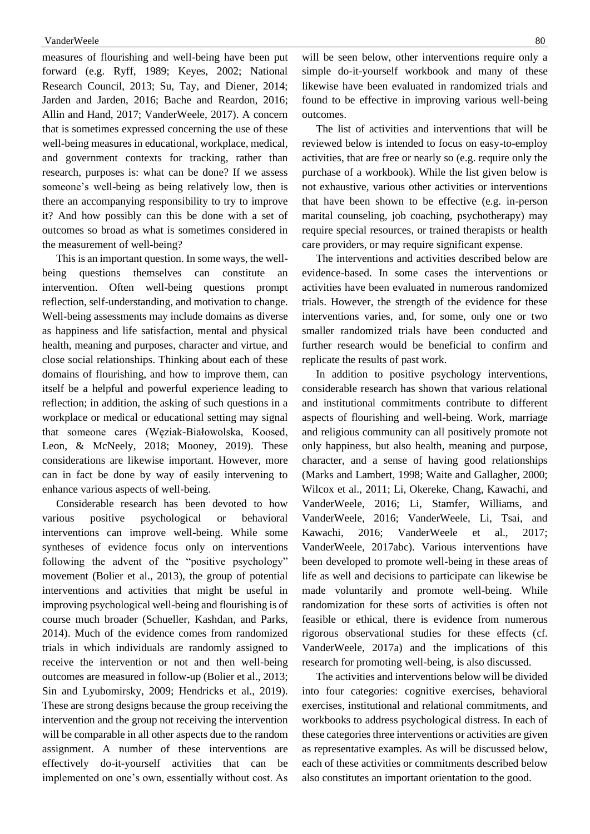measures of flourishing and well-being have been put forward (e.g. Ryff, 1989; Keyes, 2002; National Research Council, 2013; Su, Tay, and Diener, 2014; Jarden and Jarden, 2016; Bache and Reardon, 2016; Allin and Hand, 2017; VanderWeele, 2017). A concern that is sometimes expressed concerning the use of these well-being measures in educational, workplace, medical, and government contexts for tracking, rather than research, purposes is: what can be done? If we assess someone's well-being as being relatively low, then is there an accompanying responsibility to try to improve it? And how possibly can this be done with a set of outcomes so broad as what is sometimes considered in the measurement of well-being?

This is an important question. In some ways, the wellbeing questions themselves can constitute an intervention. Often well-being questions prompt reflection, self-understanding, and motivation to change. Well-being assessments may include domains as diverse as happiness and life satisfaction, mental and physical health, meaning and purposes, character and virtue, and close social relationships. Thinking about each of these domains of flourishing, and how to improve them, can itself be a helpful and powerful experience leading to reflection; in addition, the asking of such questions in a workplace or medical or educational setting may signal that someone cares (Węziak-Białowolska, Koosed, Leon, & McNeely, 2018; Mooney, 2019). These considerations are likewise important. However, more can in fact be done by way of easily intervening to enhance various aspects of well-being.

Considerable research has been devoted to how various positive psychological or behavioral interventions can improve well-being. While some syntheses of evidence focus only on interventions following the advent of the "positive psychology" movement (Bolier et al., 2013), the group of potential interventions and activities that might be useful in improving psychological well-being and flourishing is of course much broader (Schueller, Kashdan, and Parks, 2014). Much of the evidence comes from randomized trials in which individuals are randomly assigned to receive the intervention or not and then well-being outcomes are measured in follow-up (Bolier et al., 2013; Sin and Lyubomirsky, 2009; Hendricks et al., 2019). These are strong designs because the group receiving the intervention and the group not receiving the intervention will be comparable in all other aspects due to the random assignment. A number of these interventions are effectively do-it-yourself activities that can be implemented on one's own, essentially without cost. As

will be seen below, other interventions require only a simple do-it-yourself workbook and many of these likewise have been evaluated in randomized trials and found to be effective in improving various well-being outcomes.

The list of activities and interventions that will be reviewed below is intended to focus on easy-to-employ activities, that are free or nearly so (e.g. require only the purchase of a workbook). While the list given below is not exhaustive, various other activities or interventions that have been shown to be effective (e.g. in-person marital counseling, job coaching, psychotherapy) may require special resources, or trained therapists or health care providers, or may require significant expense.

The interventions and activities described below are evidence-based. In some cases the interventions or activities have been evaluated in numerous randomized trials. However, the strength of the evidence for these interventions varies, and, for some, only one or two smaller randomized trials have been conducted and further research would be beneficial to confirm and replicate the results of past work.

In addition to positive psychology interventions, considerable research has shown that various relational and institutional commitments contribute to different aspects of flourishing and well-being. Work, marriage and religious community can all positively promote not only happiness, but also health, meaning and purpose, character, and a sense of having good relationships (Marks and Lambert, 1998; Waite and Gallagher, 2000; Wilcox et al., 2011; Li, Okereke, Chang, Kawachi, and VanderWeele, 2016; Li, Stamfer, Williams, and VanderWeele, 2016; VanderWeele, Li, Tsai, and Kawachi, 2016; VanderWeele et al., 2017; VanderWeele, 2017abc). Various interventions have been developed to promote well-being in these areas of life as well and decisions to participate can likewise be made voluntarily and promote well-being. While randomization for these sorts of activities is often not feasible or ethical, there is evidence from numerous rigorous observational studies for these effects (cf. VanderWeele, 2017a) and the implications of this research for promoting well-being, is also discussed.

The activities and interventions below will be divided into four categories: cognitive exercises, behavioral exercises, institutional and relational commitments, and workbooks to address psychological distress. In each of these categories three interventions or activities are given as representative examples. As will be discussed below, each of these activities or commitments described below also constitutes an important orientation to the good.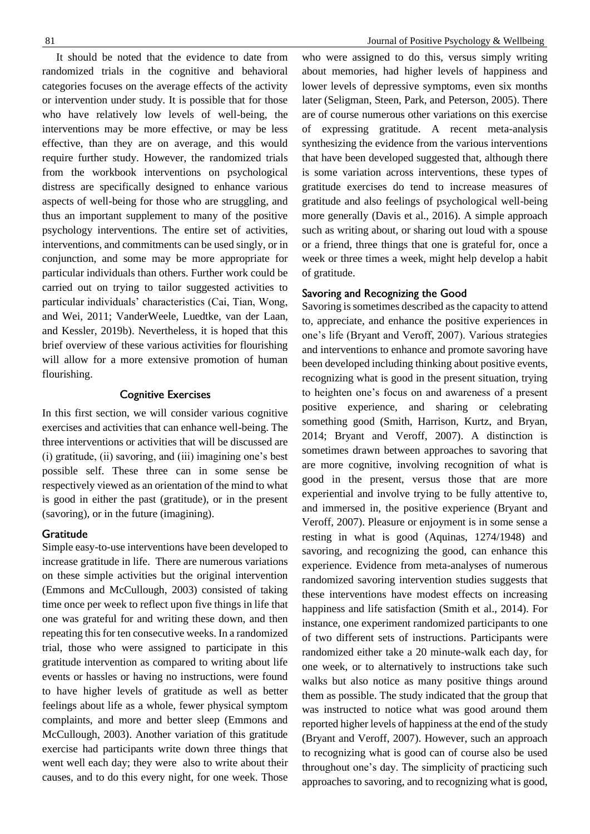It should be noted that the evidence to date from randomized trials in the cognitive and behavioral categories focuses on the average effects of the activity or intervention under study. It is possible that for those who have relatively low levels of well-being, the interventions may be more effective, or may be less effective, than they are on average, and this would require further study. However, the randomized trials from the workbook interventions on psychological distress are specifically designed to enhance various aspects of well-being for those who are struggling, and thus an important supplement to many of the positive psychology interventions. The entire set of activities, interventions, and commitments can be used singly, or in conjunction, and some may be more appropriate for particular individuals than others. Further work could be carried out on trying to tailor suggested activities to particular individuals' characteristics (Cai, Tian, Wong, and Wei, 2011; VanderWeele, Luedtke, van der Laan, and Kessler, 2019b). Nevertheless, it is hoped that this brief overview of these various activities for flourishing will allow for a more extensive promotion of human flourishing.

#### **Cognitive Exercises**

In this first section, we will consider various cognitive exercises and activities that can enhance well-being. The three interventions or activities that will be discussed are (i) gratitude, (ii) savoring, and (iii) imagining one's best possible self. These three can in some sense be respectively viewed as an orientation of the mind to what is good in either the past (gratitude), or in the present (savoring), or in the future (imagining).

#### Gratitude

Simple easy-to-use interventions have been developed to increase gratitude in life. There are numerous variations on these simple activities but the original intervention (Emmons and McCullough, 2003) consisted of taking time once per week to reflect upon five things in life that one was grateful for and writing these down, and then repeating this for ten consecutive weeks. In a randomized trial, those who were assigned to participate in this gratitude intervention as compared to writing about life events or hassles or having no instructions, were found to have higher levels of gratitude as well as better feelings about life as a whole, fewer physical symptom complaints, and more and better sleep (Emmons and McCullough, 2003). Another variation of this gratitude exercise had participants write down three things that went well each day; they were also to write about their causes, and to do this every night, for one week. Those

#### 81 **Solution** Journal of Positive Psychology & Wellbeing

who were assigned to do this, versus simply writing about memories, had higher levels of happiness and lower levels of depressive symptoms, even six months later (Seligman, Steen, Park, and Peterson, 2005). There are of course numerous other variations on this exercise of expressing gratitude. A recent meta-analysis synthesizing the evidence from the various interventions that have been developed suggested that, although there is some variation across interventions, these types of gratitude exercises do tend to increase measures of gratitude and also feelings of psychological well-being more generally (Davis et al., 2016). A simple approach such as writing about, or sharing out loud with a spouse or a friend, three things that one is grateful for, once a week or three times a week, might help develop a habit of gratitude.

## Savoring and Recognizing the Good

Savoring is sometimes described as the capacity to attend to, appreciate, and enhance the positive experiences in one's life (Bryant and Veroff, 2007). Various strategies and interventions to enhance and promote savoring have been developed including thinking about positive events, recognizing what is good in the present situation, trying to heighten one's focus on and awareness of a present positive experience, and sharing or celebrating something good (Smith, Harrison, Kurtz, and Bryan, 2014; Bryant and Veroff, 2007). A distinction is sometimes drawn between approaches to savoring that are more cognitive, involving recognition of what is good in the present, versus those that are more experiential and involve trying to be fully attentive to, and immersed in, the positive experience (Bryant and Veroff, 2007). Pleasure or enjoyment is in some sense a resting in what is good (Aquinas, 1274/1948) and savoring, and recognizing the good, can enhance this experience. Evidence from meta-analyses of numerous randomized savoring intervention studies suggests that these interventions have modest effects on increasing happiness and life satisfaction (Smith et al., 2014). For instance, one experiment randomized participants to one of two different sets of instructions. Participants were randomized either take a 20 minute-walk each day, for one week, or to alternatively to instructions take such walks but also notice as many positive things around them as possible. The study indicated that the group that was instructed to notice what was good around them reported higher levels of happiness at the end of the study (Bryant and Veroff, 2007). However, such an approach to recognizing what is good can of course also be used throughout one's day. The simplicity of practicing such approaches to savoring, and to recognizing what is good,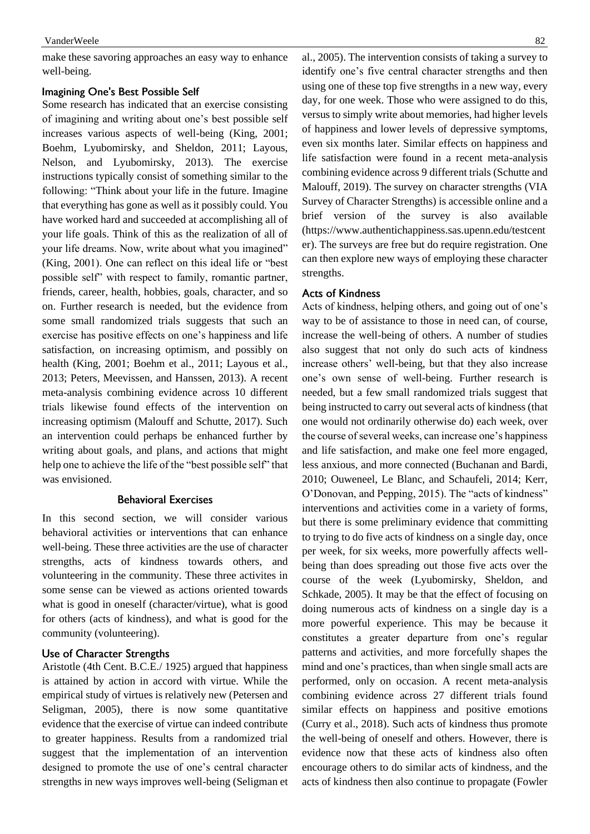make these savoring approaches an easy way to enhance well-being.

### **Imagining One's Best Possible Self**

Some research has indicated that an exercise consisting of imagining and writing about one's best possible self increases various aspects of well-being (King, 2001; Boehm, Lyubomirsky, and Sheldon, 2011; Layous, Nelson, and Lyubomirsky, 2013). The exercise instructions typically consist of something similar to the following: "Think about your life in the future. Imagine that everything has gone as well as it possibly could. You have worked hard and succeeded at accomplishing all of your life goals. Think of this as the realization of all of your life dreams. Now, write about what you imagined" (King, 2001). One can reflect on this ideal life or "best possible self" with respect to family, romantic partner, friends, career, health, hobbies, goals, character, and so on. Further research is needed, but the evidence from some small randomized trials suggests that such an exercise has positive effects on one's happiness and life satisfaction, on increasing optimism, and possibly on health (King, 2001; Boehm et al., 2011; Layous et al., 2013; Peters, Meevissen, and Hanssen, 2013). A recent meta-analysis combining evidence across 10 different trials likewise found effects of the intervention on increasing optimism (Malouff and Schutte, 2017). Such an intervention could perhaps be enhanced further by writing about goals, and plans, and actions that might help one to achieve the life of the "best possible self" that was envisioned.

## **Behavioral Exercises**

In this second section, we will consider various behavioral activities or interventions that can enhance well-being. These three activities are the use of character strengths, acts of kindness towards others, and volunteering in the community. These three activites in some sense can be viewed as actions oriented towards what is good in oneself (character/virtue), what is good for others (acts of kindness), and what is good for the community (volunteering).

#### Use of Character Strengths

Aristotle (4th Cent. B.C.E./ 1925) argued that happiness is attained by action in accord with virtue. While the empirical study of virtues is relatively new (Petersen and Seligman, 2005), there is now some quantitative evidence that the exercise of virtue can indeed contribute to greater happiness. Results from a randomized trial suggest that the implementation of an intervention designed to promote the use of one's central character strengths in new ways improves well-being (Seligman et

al., 2005). The intervention consists of taking a survey to identify one's five central character strengths and then using one of these top five strengths in a new way, every day, for one week. Those who were assigned to do this, versus to simply write about memories, had higher levels of happiness and lower levels of depressive symptoms, even six months later. Similar effects on happiness and life satisfaction were found in a recent meta-analysis combining evidence across 9 different trials (Schutte and Malouff, 2019). The survey on character strengths (VIA Survey of Character Strengths) is accessible online and a brief version of the survey is also available (https://www.authentichappiness.sas.upenn.edu/testcent er). The surveys are free but do require registration. One can then explore new ways of employing these character strengths.

#### **Acts of Kindness**

Acts of kindness, helping others, and going out of one's way to be of assistance to those in need can, of course, increase the well-being of others. A number of studies also suggest that not only do such acts of kindness increase others' well-being, but that they also increase one's own sense of well-being. Further research is needed, but a few small randomized trials suggest that being instructed to carry out several acts of kindness (that one would not ordinarily otherwise do) each week, over the course of several weeks, can increase one's happiness and life satisfaction, and make one feel more engaged, less anxious, and more connected (Buchanan and Bardi, 2010; Ouweneel, Le Blanc, and Schaufeli, 2014; Kerr, O'Donovan, and Pepping, 2015). The "acts of kindness" interventions and activities come in a variety of forms, but there is some preliminary evidence that committing to trying to do five acts of kindness on a single day, once per week, for six weeks, more powerfully affects wellbeing than does spreading out those five acts over the course of the week (Lyubomirsky, Sheldon, and Schkade, 2005). It may be that the effect of focusing on doing numerous acts of kindness on a single day is a more powerful experience. This may be because it constitutes a greater departure from one's regular patterns and activities, and more forcefully shapes the mind and one's practices, than when single small acts are performed, only on occasion. A recent meta-analysis combining evidence across 27 different trials found similar effects on happiness and positive emotions (Curry et al., 2018). Such acts of kindness thus promote the well-being of oneself and others. However, there is evidence now that these acts of kindness also often encourage others to do similar acts of kindness, and the acts of kindness then also continue to propagate (Fowler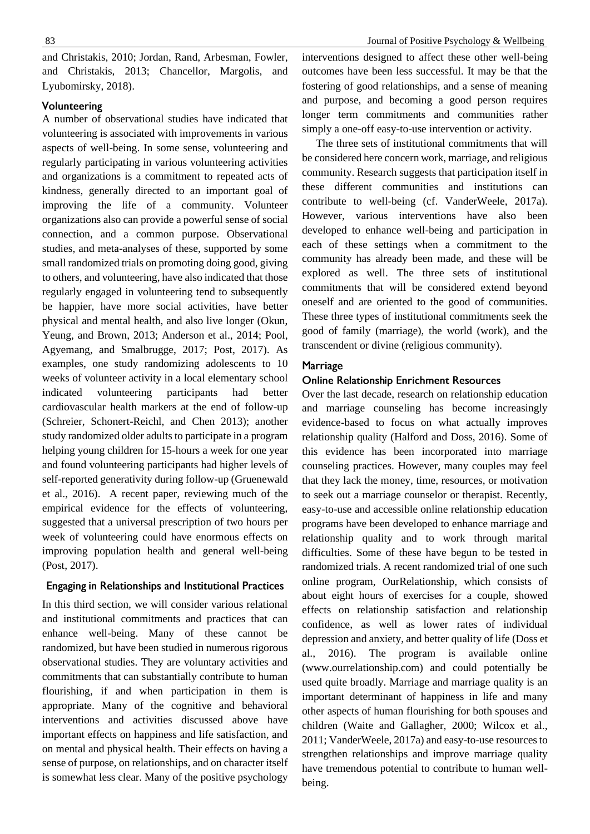and Christakis, 2010; Jordan, Rand, Arbesman, Fowler, and Christakis, 2013; Chancellor, Margolis, and Lyubomirsky, 2018).

## Volunteering

A number of observational studies have indicated that volunteering is associated with improvements in various aspects of well-being. In some sense, volunteering and regularly participating in various volunteering activities and organizations is a commitment to repeated acts of kindness, generally directed to an important goal of improving the life of a community. Volunteer organizations also can provide a powerful sense of social connection, and a common purpose. Observational studies, and meta-analyses of these, supported by some small randomized trials on promoting doing good, giving to others, and volunteering, have also indicated that those regularly engaged in volunteering tend to subsequently be happier, have more social activities, have better physical and mental health, and also live longer (Okun, Yeung, and Brown, 2013; Anderson et al., 2014; Pool, Agyemang, and Smalbrugge, 2017; Post, 2017). As examples, one study randomizing adolescents to 10 weeks of volunteer activity in a local elementary school indicated volunteering participants had better cardiovascular health markers at the end of follow-up (Schreier, Schonert-Reichl, and Chen 2013); another study randomized older adults to participate in a program helping young children for 15-hours a week for one year and found volunteering participants had higher levels of self-reported generativity during follow-up (Gruenewald et al., 2016). A recent paper, reviewing much of the empirical evidence for the effects of volunteering, suggested that a universal prescription of two hours per week of volunteering could have enormous effects on improving population health and general well-being (Post, 2017).

## Engaging in Relationships and Institutional Practices

In this third section, we will consider various relational and institutional commitments and practices that can enhance well-being. Many of these cannot be randomized, but have been studied in numerous rigorous observational studies. They are voluntary activities and commitments that can substantially contribute to human flourishing, if and when participation in them is appropriate. Many of the cognitive and behavioral interventions and activities discussed above have important effects on happiness and life satisfaction, and on mental and physical health. Their effects on having a sense of purpose, on relationships, and on character itself is somewhat less clear. Many of the positive psychology

interventions designed to affect these other well-being outcomes have been less successful. It may be that the fostering of good relationships, and a sense of meaning and purpose, and becoming a good person requires longer term commitments and communities rather simply a one-off easy-to-use intervention or activity.

The three sets of institutional commitments that will be considered here concern work, marriage, and religious community. Research suggests that participation itself in these different communities and institutions can contribute to well-being (cf. VanderWeele, 2017a). However, various interventions have also been developed to enhance well-being and participation in each of these settings when a commitment to the community has already been made, and these will be explored as well. The three sets of institutional commitments that will be considered extend beyond oneself and are oriented to the good of communities. These three types of institutional commitments seek the good of family (marriage), the world (work), and the transcendent or divine (religious community).

## **Marriage**

## **Online Relationship Enrichment Resources**

Over the last decade, research on relationship education and marriage counseling has become increasingly evidence-based to focus on what actually improves relationship quality (Halford and Doss, 2016). Some of this evidence has been incorporated into marriage counseling practices. However, many couples may feel that they lack the money, time, resources, or motivation to seek out a marriage counselor or therapist. Recently, easy-to-use and accessible online relationship education programs have been developed to enhance marriage and relationship quality and to work through marital difficulties. Some of these have begun to be tested in randomized trials. A recent randomized trial of one such online program, OurRelationship, which consists of about eight hours of exercises for a couple, showed effects on relationship satisfaction and relationship confidence, as well as lower rates of individual depression and anxiety, and better quality of life (Doss et al., 2016). The program is available online (www.ourrelationship.com) and could potentially be used quite broadly. Marriage and marriage quality is an important determinant of happiness in life and many other aspects of human flourishing for both spouses and children (Waite and Gallagher, 2000; Wilcox et al., 2011; VanderWeele, 2017a) and easy-to-use resources to strengthen relationships and improve marriage quality have tremendous potential to contribute to human wellbeing.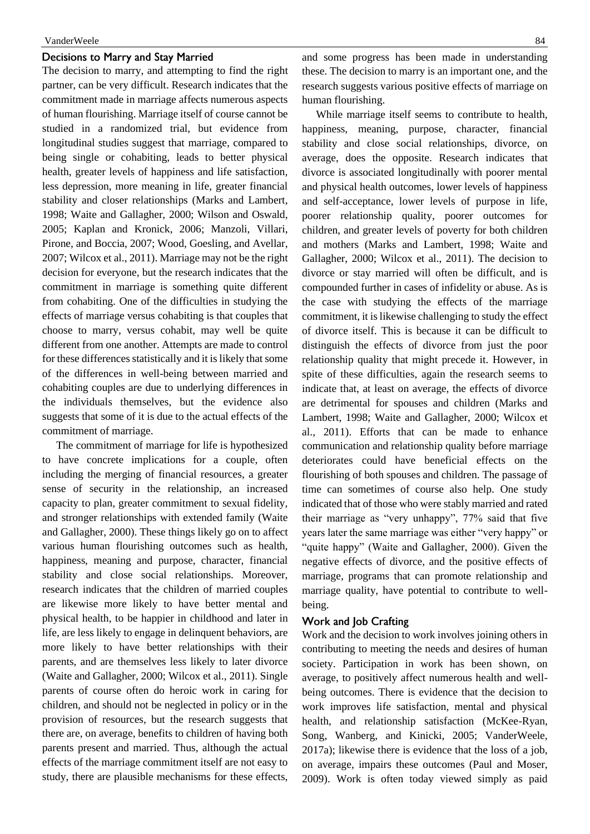#### VanderWeele 84

## Decisions to Marry and Stay Married

The decision to marry, and attempting to find the right partner, can be very difficult. Research indicates that the commitment made in marriage affects numerous aspects of human flourishing. Marriage itself of course cannot be studied in a randomized trial, but evidence from longitudinal studies suggest that marriage, compared to being single or cohabiting, leads to better physical health, greater levels of happiness and life satisfaction, less depression, more meaning in life, greater financial stability and closer relationships (Marks and Lambert, 1998; Waite and Gallagher, 2000; Wilson and Oswald, 2005; Kaplan and Kronick, 2006; Manzoli, Villari, Pirone, and Boccia, 2007; Wood, Goesling, and Avellar, 2007; Wilcox et al., 2011). Marriage may not be the right decision for everyone, but the research indicates that the commitment in marriage is something quite different from cohabiting. One of the difficulties in studying the effects of marriage versus cohabiting is that couples that choose to marry, versus cohabit, may well be quite different from one another. Attempts are made to control for these differences statistically and it is likely that some of the differences in well-being between married and cohabiting couples are due to underlying differences in the individuals themselves, but the evidence also suggests that some of it is due to the actual effects of the commitment of marriage.

The commitment of marriage for life is hypothesized to have concrete implications for a couple, often including the merging of financial resources, a greater sense of security in the relationship, an increased capacity to plan, greater commitment to sexual fidelity, and stronger relationships with extended family (Waite and Gallagher, 2000). These things likely go on to affect various human flourishing outcomes such as health, happiness, meaning and purpose, character, financial stability and close social relationships. Moreover, research indicates that the children of married couples are likewise more likely to have better mental and physical health, to be happier in childhood and later in life, are less likely to engage in delinquent behaviors, are more likely to have better relationships with their parents, and are themselves less likely to later divorce (Waite and Gallagher, 2000; Wilcox et al., 2011). Single parents of course often do heroic work in caring for children, and should not be neglected in policy or in the provision of resources, but the research suggests that there are, on average, benefits to children of having both parents present and married. Thus, although the actual effects of the marriage commitment itself are not easy to study, there are plausible mechanisms for these effects, and some progress has been made in understanding these. The decision to marry is an important one, and the research suggests various positive effects of marriage on human flourishing.

While marriage itself seems to contribute to health, happiness, meaning, purpose, character, financial stability and close social relationships, divorce, on average, does the opposite. Research indicates that divorce is associated longitudinally with poorer mental and physical health outcomes, lower levels of happiness and self-acceptance, lower levels of purpose in life, poorer relationship quality, poorer outcomes for children, and greater levels of poverty for both children and mothers (Marks and Lambert, 1998; Waite and Gallagher, 2000; Wilcox et al., 2011). The decision to divorce or stay married will often be difficult, and is compounded further in cases of infidelity or abuse. As is the case with studying the effects of the marriage commitment, it is likewise challenging to study the effect of divorce itself. This is because it can be difficult to distinguish the effects of divorce from just the poor relationship quality that might precede it. However, in spite of these difficulties, again the research seems to indicate that, at least on average, the effects of divorce are detrimental for spouses and children (Marks and Lambert, 1998; Waite and Gallagher, 2000; Wilcox et al., 2011). Efforts that can be made to enhance communication and relationship quality before marriage deteriorates could have beneficial effects on the flourishing of both spouses and children. The passage of time can sometimes of course also help. One study indicated that of those who were stably married and rated their marriage as "very unhappy", 77% said that five years later the same marriage was either "very happy" or "quite happy" (Waite and Gallagher, 2000). Given the negative effects of divorce, and the positive effects of marriage, programs that can promote relationship and marriage quality, have potential to contribute to wellbeing.

#### Work and Job Crafting

Work and the decision to work involves joining others in contributing to meeting the needs and desires of human society. Participation in work has been shown, on average, to positively affect numerous health and wellbeing outcomes. There is evidence that the decision to work improves life satisfaction, mental and physical health, and relationship satisfaction (McKee-Ryan, Song, Wanberg, and Kinicki, 2005; VanderWeele, 2017a); likewise there is evidence that the loss of a job, on average, impairs these outcomes (Paul and Moser, 2009). Work is often today viewed simply as paid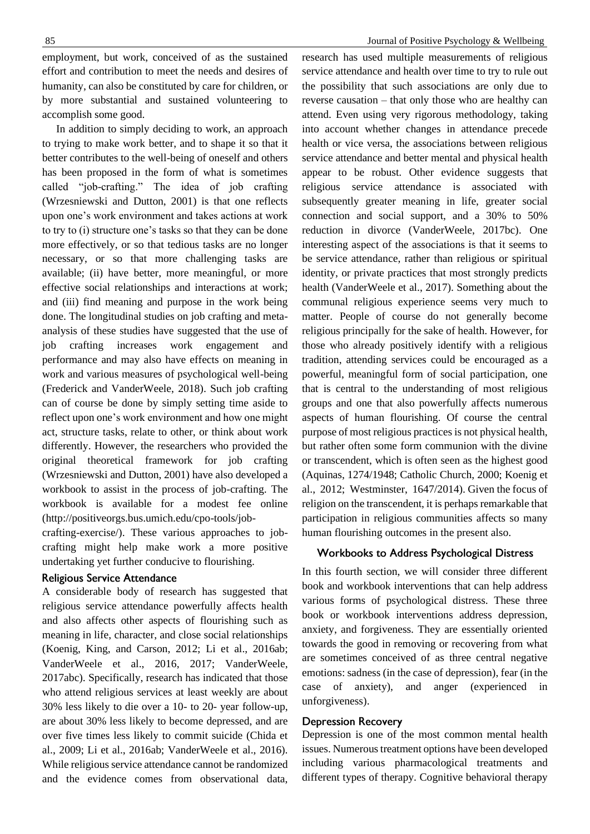employment, but work, conceived of as the sustained effort and contribution to meet the needs and desires of humanity, can also be constituted by care for children, or by more substantial and sustained volunteering to accomplish some good.

In addition to simply deciding to work, an approach to trying to make work better, and to shape it so that it better contributes to the well-being of oneself and others has been proposed in the form of what is sometimes called "job-crafting." The idea of job crafting (Wrzesniewski and Dutton, 2001) is that one reflects upon one's work environment and takes actions at work to try to (i) structure one's tasks so that they can be done more effectively, or so that tedious tasks are no longer necessary, or so that more challenging tasks are available; (ii) have better, more meaningful, or more effective social relationships and interactions at work; and (iii) find meaning and purpose in the work being done. The longitudinal studies on job crafting and metaanalysis of these studies have suggested that the use of job crafting increases work engagement and performance and may also have effects on meaning in work and various measures of psychological well-being (Frederick and VanderWeele, 2018). Such job crafting can of course be done by simply setting time aside to reflect upon one's work environment and how one might act, structure tasks, relate to other, or think about work differently. However, the researchers who provided the original theoretical framework for job crafting (Wrzesniewski and Dutton, 2001) have also developed a workbook to assist in the process of job-crafting. The workbook is available for a modest fee online (http://positiveorgs.bus.umich.edu/cpo-tools/job-

crafting-exercise/). These various approaches to jobcrafting might help make work a more positive undertaking yet further conducive to flourishing.

#### Religious Service Attendance

A considerable body of research has suggested that religious service attendance powerfully affects health and also affects other aspects of flourishing such as meaning in life, character, and close social relationships (Koenig, King, and Carson, 2012; Li et al., 2016ab; VanderWeele et al., 2016, 2017; VanderWeele, 2017abc). Specifically, research has indicated that those who attend religious services at least weekly are about 30% less likely to die over a 10- to 20- year follow-up, are about 30% less likely to become depressed, and are over five times less likely to commit suicide (Chida et al., 2009; Li et al., 2016ab; VanderWeele et al., 2016). While religious service attendance cannot be randomized and the evidence comes from observational data,

#### 85 **S** Journal of Positive Psychology & Wellbeing

research has used multiple measurements of religious service attendance and health over time to try to rule out the possibility that such associations are only due to reverse causation – that only those who are healthy can attend. Even using very rigorous methodology, taking into account whether changes in attendance precede health or vice versa, the associations between religious service attendance and better mental and physical health appear to be robust. Other evidence suggests that religious service attendance is associated with subsequently greater meaning in life, greater social connection and social support, and a 30% to 50% reduction in divorce (VanderWeele, 2017bc). One interesting aspect of the associations is that it seems to be service attendance, rather than religious or spiritual identity, or private practices that most strongly predicts health (VanderWeele et al., 2017). Something about the communal religious experience seems very much to matter. People of course do not generally become religious principally for the sake of health. However, for those who already positively identify with a religious tradition, attending services could be encouraged as a powerful, meaningful form of social participation, one that is central to the understanding of most religious groups and one that also powerfully affects numerous aspects of human flourishing. Of course the central purpose of most religious practices is not physical health, but rather often some form communion with the divine or transcendent, which is often seen as the highest good (Aquinas, 1274/1948; Catholic Church, 2000; Koenig et al., 2012; Westminster, 1647/2014). Given the focus of religion on the transcendent, it is perhaps remarkable that participation in religious communities affects so many human flourishing outcomes in the present also.

#### **Workbooks to Address Psychological Distress**

In this fourth section, we will consider three different book and workbook interventions that can help address various forms of psychological distress. These three book or workbook interventions address depression, anxiety, and forgiveness. They are essentially oriented towards the good in removing or recovering from what are sometimes conceived of as three central negative emotions: sadness (in the case of depression), fear (in the case of anxiety), and anger (experienced in unforgiveness).

## **Depression Recovery**

Depression is one of the most common mental health issues. Numerous treatment options have been developed including various pharmacological treatments and different types of therapy. Cognitive behavioral therapy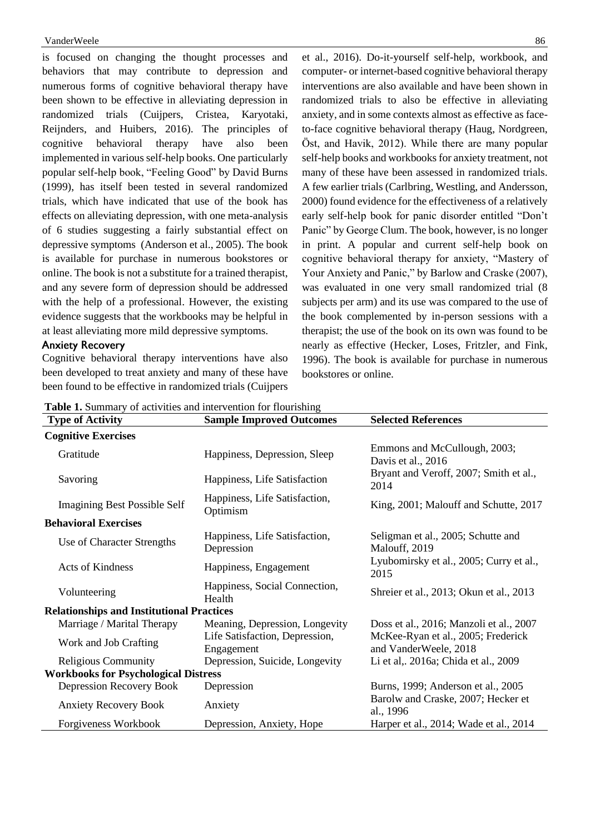#### VanderWeele 86

is focused on changing the thought processes and behaviors that may contribute to depression and numerous forms of cognitive behavioral therapy have been shown to be effective in alleviating depression in randomized trials (Cuijpers, Cristea, Karyotaki, Reijnders, and Huibers, 2016). The principles of cognitive behavioral therapy have also been implemented in various self-help books. One particularly popular self-help book, "Feeling Good" by David Burns (1999), has itself been tested in several randomized trials, which have indicated that use of the book has effects on alleviating depression, with one meta-analysis of 6 studies suggesting a fairly substantial effect on depressive symptoms (Anderson et al., 2005). The book is available for purchase in numerous bookstores or online. The book is not a substitute for a trained therapist, and any severe form of depression should be addressed with the help of a professional. However, the existing evidence suggests that the workbooks may be helpful in at least alleviating more mild depressive symptoms.

### **Anxiety Recovery**

Cognitive behavioral therapy interventions have also been developed to treat anxiety and many of these have been found to be effective in randomized trials (Cuijpers

et al., 2016). Do-it-yourself self-help, workbook, and computer- or internet-based cognitive behavioral therapy interventions are also available and have been shown in randomized trials to also be effective in alleviating anxiety, and in some contexts almost as effective as faceto-face cognitive behavioral therapy (Haug, Nordgreen, Öst, and Havik, 2012). While there are many popular self-help books and workbooks for anxiety treatment, not many of these have been assessed in randomized trials. A few earlier trials (Carlbring, Westling, and Andersson, 2000) found evidence for the effectiveness of a relatively early self-help book for panic disorder entitled "Don't Panic" by George Clum. The book, however, is no longer in print. A popular and current self-help book on cognitive behavioral therapy for anxiety, "Mastery of Your Anxiety and Panic," by Barlow and Craske (2007), was evaluated in one very small randomized trial (8 subjects per arm) and its use was compared to the use of the book complemented by in-person sessions with a therapist; the use of the book on its own was found to be nearly as effective (Hecker, Loses, Fritzler, and Fink, 1996). The book is available for purchase in numerous bookstores or online.

**Table 1.** Summary of activities and intervention for flourishing

| <b>rapic 1.</b> Dummary of activities and micrychiton for hourisming |                                              |                                                             |
|----------------------------------------------------------------------|----------------------------------------------|-------------------------------------------------------------|
| <b>Type of Activity</b>                                              | <b>Sample Improved Outcomes</b>              | <b>Selected References</b>                                  |
| <b>Cognitive Exercises</b>                                           |                                              |                                                             |
| Gratitude                                                            | Happiness, Depression, Sleep                 | Emmons and McCullough, 2003;<br>Davis et al., 2016          |
| Savoring                                                             | Happiness, Life Satisfaction                 | Bryant and Veroff, 2007; Smith et al.,<br>2014              |
| <b>Imagining Best Possible Self</b>                                  | Happiness, Life Satisfaction,<br>Optimism    | King, 2001; Malouff and Schutte, 2017                       |
| <b>Behavioral Exercises</b>                                          |                                              |                                                             |
| Use of Character Strengths                                           | Happiness, Life Satisfaction,<br>Depression  | Seligman et al., 2005; Schutte and<br>Malouff, 2019         |
| <b>Acts of Kindness</b>                                              | Happiness, Engagement                        | Lyubomirsky et al., 2005; Curry et al.,<br>2015             |
| Volunteering                                                         | Happiness, Social Connection,<br>Health      | Shreier et al., 2013; Okun et al., 2013                     |
| <b>Relationships and Institutional Practices</b>                     |                                              |                                                             |
| Marriage / Marital Therapy                                           | Meaning, Depression, Longevity               | Doss et al., 2016; Manzoli et al., 2007                     |
| Work and Job Crafting                                                | Life Satisfaction, Depression,<br>Engagement | McKee-Ryan et al., 2005; Frederick<br>and VanderWeele, 2018 |
| <b>Religious Community</b>                                           | Depression, Suicide, Longevity               | Li et al., 2016a; Chida et al., 2009                        |
| <b>Workbooks for Psychological Distress</b>                          |                                              |                                                             |
| Depression Recovery Book                                             | Depression                                   | Burns, 1999; Anderson et al., 2005                          |
| <b>Anxiety Recovery Book</b>                                         | Anxiety                                      | Barolw and Craske, 2007; Hecker et<br>al., 1996             |
| Forgiveness Workbook                                                 | Depression, Anxiety, Hope                    | Harper et al., 2014; Wade et al., 2014                      |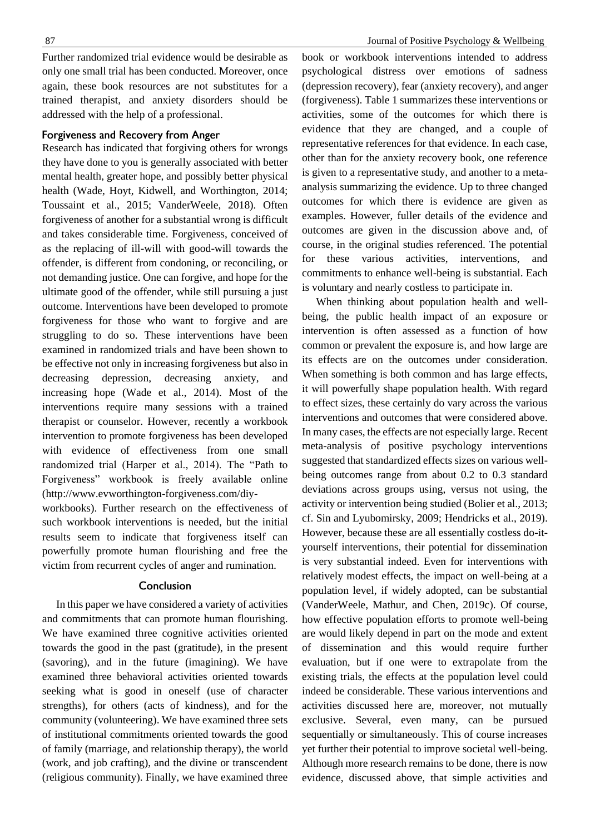Further randomized trial evidence would be desirable as only one small trial has been conducted. Moreover, once again, these book resources are not substitutes for a trained therapist, and anxiety disorders should be addressed with the help of a professional.

#### Forgiveness and Recovery from Anger

Research has indicated that forgiving others for wrongs they have done to you is generally associated with better mental health, greater hope, and possibly better physical health (Wade, Hoyt, Kidwell, and Worthington, 2014; Toussaint et al., 2015; VanderWeele, 2018). Often forgiveness of another for a substantial wrong is difficult and takes considerable time. Forgiveness, conceived of as the replacing of ill-will with good-will towards the offender, is different from condoning, or reconciling, or not demanding justice. One can forgive, and hope for the ultimate good of the offender, while still pursuing a just outcome. Interventions have been developed to promote forgiveness for those who want to forgive and are struggling to do so. These interventions have been examined in randomized trials and have been shown to be effective not only in increasing forgiveness but also in decreasing depression, decreasing anxiety, and increasing hope (Wade et al., 2014). Most of the interventions require many sessions with a trained therapist or counselor. However, recently a workbook intervention to promote forgiveness has been developed with evidence of effectiveness from one small randomized trial (Harper et al., 2014). The "Path to Forgiveness" workbook is freely available online (http://www.evworthington-forgiveness.com/diy-

workbooks). Further research on the effectiveness of such workbook interventions is needed, but the initial results seem to indicate that forgiveness itself can powerfully promote human flourishing and free the victim from recurrent cycles of anger and rumination.

#### Conclusion

In this paper we have considered a variety of activities and commitments that can promote human flourishing. We have examined three cognitive activities oriented towards the good in the past (gratitude), in the present (savoring), and in the future (imagining). We have examined three behavioral activities oriented towards seeking what is good in oneself (use of character strengths), for others (acts of kindness), and for the community (volunteering). We have examined three sets of institutional commitments oriented towards the good of family (marriage, and relationship therapy), the world (work, and job crafting), and the divine or transcendent (religious community). Finally, we have examined three

book or workbook interventions intended to address psychological distress over emotions of sadness (depression recovery), fear (anxiety recovery), and anger (forgiveness). Table 1 summarizes these interventions or activities, some of the outcomes for which there is evidence that they are changed, and a couple of representative references for that evidence. In each case, other than for the anxiety recovery book, one reference is given to a representative study, and another to a metaanalysis summarizing the evidence. Up to three changed outcomes for which there is evidence are given as examples. However, fuller details of the evidence and outcomes are given in the discussion above and, of course, in the original studies referenced. The potential for these various activities, interventions, and commitments to enhance well-being is substantial. Each is voluntary and nearly costless to participate in.

When thinking about population health and wellbeing, the public health impact of an exposure or intervention is often assessed as a function of how common or prevalent the exposure is, and how large are its effects are on the outcomes under consideration. When something is both common and has large effects, it will powerfully shape population health. With regard to effect sizes, these certainly do vary across the various interventions and outcomes that were considered above. In many cases, the effects are not especially large. Recent meta-analysis of positive psychology interventions suggested that standardized effects sizes on various wellbeing outcomes range from about 0.2 to 0.3 standard deviations across groups using, versus not using, the activity or intervention being studied (Bolier et al., 2013; cf. Sin and Lyubomirsky, 2009; Hendricks et al., 2019). However, because these are all essentially costless do-ityourself interventions, their potential for dissemination is very substantial indeed. Even for interventions with relatively modest effects, the impact on well-being at a population level, if widely adopted, can be substantial (VanderWeele, Mathur, and Chen, 2019c). Of course, how effective population efforts to promote well-being are would likely depend in part on the mode and extent of dissemination and this would require further evaluation, but if one were to extrapolate from the existing trials, the effects at the population level could indeed be considerable. These various interventions and activities discussed here are, moreover, not mutually exclusive. Several, even many, can be pursued sequentially or simultaneously. This of course increases yet further their potential to improve societal well-being. Although more research remains to be done, there is now evidence, discussed above, that simple activities and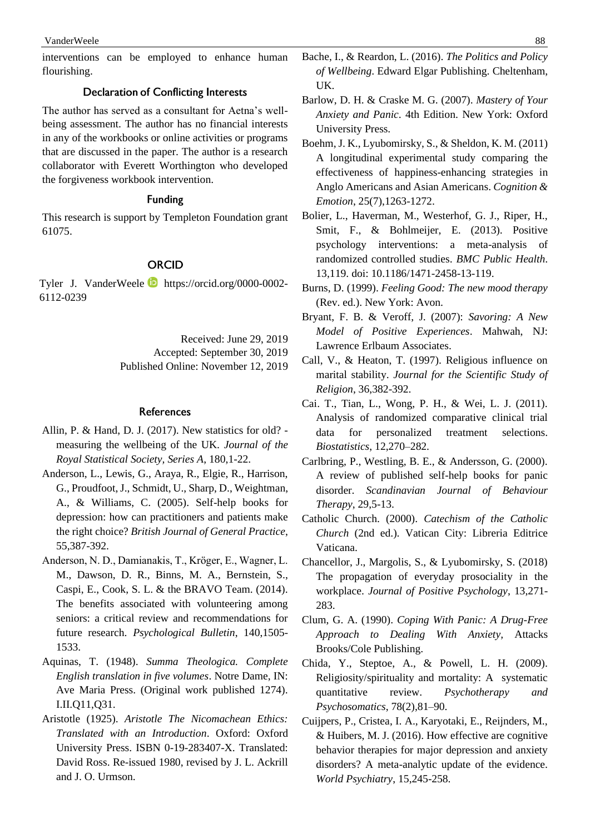interventions can be employed to enhance human flourishing.

## **Declaration of Conflicting Interests**

The author has served as a consultant for Aetna's wellbeing assessment. The author has no financial interests in any of the workbooks or online activities or programs that are discussed in the paper. The author is a research collaborator with Everett Worthington who developed the forgiveness workbook intervention.

#### **Funding**

This research is support by Templeton Foundation grant 61075.

## **ORCID**

Tyler J. VanderWeele https://orcid.org/0000-0002-6112-0239

Received: June 29, 2019

Accepted: September 30, 2019

Published Online: November 12, 2019

#### **References**

- Allin, P. & Hand, D. J. (2017). New statistics for old? measuring the wellbeing of the UK. *Journal of the Royal Statistical Society, Series A*, 180,1-22.
- Anderson, L., Lewis, G., Araya, R., Elgie, R., Harrison, G., Proudfoot, J., Schmidt, U., Sharp, D., Weightman, A., & Williams, C. (2005). Self-help books for depression: how can practitioners and patients make the right choice? *British Journal of General Practice*, 55,387-392.
- Anderson, N. D., Damianakis, T., Kröger, E., Wagner, L. M., Dawson, D. R., Binns, M. A., Bernstein, S., Caspi, E., Cook, S. L. & the BRAVO Team. (2014). The benefits associated with volunteering among seniors: a critical review and recommendations for future research. *Psychological Bulletin*, 140,1505- 1533.
- Aquinas, T. (1948). *Summa Theologica. Complete English translation in five volumes*. Notre Dame, IN: Ave Maria Press. (Original work published 1274). I.II.Q11,Q31.
- Aristotle (1925). *Aristotle The Nicomachean Ethics: Translated with an Introduction*. Oxford: Oxford University Press. ISBN 0-19-283407-X. Translated: David Ross. Re-issued 1980, revised by J. L. Ackrill and J. O. Urmson.
- Bache, I., & Reardon, L. (2016). *The Politics and Policy of Wellbeing*. Edward Elgar Publishing. Cheltenham, UK.
- Barlow, D. H. & Craske M. G. (2007). *Mastery of Your Anxiety and Panic*. 4th Edition. New York: Oxford University Press.
- Boehm, J. K., Lyubomirsky, S., & Sheldon, K. M. (2011) A longitudinal experimental study comparing the effectiveness of happiness-enhancing strategies in Anglo Americans and Asian Americans. *Cognition & Emotion*, 25(7),1263-1272.
- Bolier, L., Haverman, M., Westerhof, G. J., Riper, H., Smit, F., & Bohlmeijer, E. (2013). Positive psychology interventions: a meta-analysis of randomized controlled studies. *BMC Public Health*. 13,119. doi: 10.1186/1471-2458-13-119.
- Burns, D. (1999). *Feeling Good: The new mood therapy* (Rev. ed.). New York: Avon.
- Bryant, F. B. & Veroff, J. (2007): *Savoring: A New Model of Positive Experiences*. Mahwah, NJ: Lawrence Erlbaum Associates.
- Call, V., & Heaton, T. (1997). Religious influence on marital stability. *Journal for the Scientific Study of Religion*, 36,382-392.
- Cai. T., Tian, L., Wong, P. H., & Wei, L. J. (2011). Analysis of randomized comparative clinical trial data for personalized treatment selections. *Biostatistics*, 12,270–282.
- Carlbring, P., Westling, B. E., & Andersson, G. (2000). A review of published self-help books for panic disorder. *Scandinavian Journal of Behaviour Therapy*, 29,5-13.
- Catholic Church. (2000). *Catechism of the Catholic Church* (2nd ed.). Vatican City: Libreria Editrice Vaticana.
- Chancellor, J., Margolis, S., & Lyubomirsky, S. (2018) The propagation of everyday prosociality in the workplace. *Journal of Positive Psychology*, 13,271- 283.
- Clum, G. A. (1990). *Coping With Panic: A Drug-Free Approach to Dealing With Anxiety,* Attacks Brooks/Cole Publishing.
- Chida, Y., Steptoe, A., & Powell, L. H. (2009). Religiosity/spirituality and mortality: A systematic quantitative review. *Psychotherapy and Psychosomatics*, 78(2),81–90.
- Cuijpers, P., Cristea, I. A., Karyotaki, E., Reijnders, M., & Huibers, M. J. (2016). How effective are cognitive behavior therapies for major depression and anxiety disorders? A meta-analytic update of the evidence. *World Psychiatry*, 15,245-258.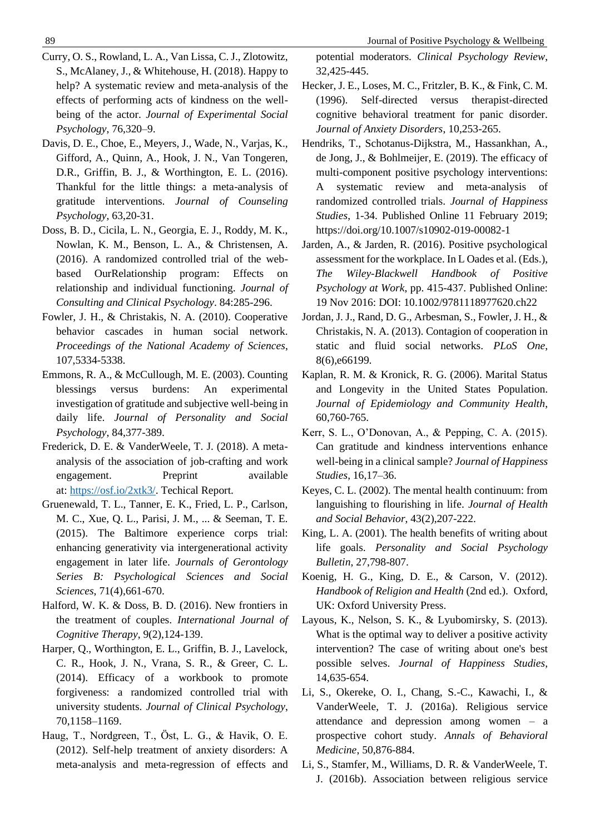- Curry, O. S., Rowland, L. A., Van Lissa, C. J., Zlotowitz, S., McAlaney, J., & Whitehouse, H. (2018). Happy to help? A systematic review and meta-analysis of the effects of performing acts of kindness on the wellbeing of the actor. *Journal of Experimental Social Psychology*, 76,320–9.
- Davis, D. E., Choe, E., Meyers, J., Wade, N., Varjas, K., Gifford, A., Quinn, A., Hook, J. N., Van Tongeren, D.R., Griffin, B. J., & Worthington, E. L. (2016). Thankful for the little things: a meta-analysis of gratitude interventions. *Journal of Counseling Psychology*, 63,20-31.
- Doss, B. D., Cicila, L. N., Georgia, E. J., Roddy, M. K., Nowlan, K. M., Benson, L. A., & Christensen, A. (2016). A randomized controlled trial of the webbased OurRelationship program: Effects on relationship and individual functioning. *Journal of Consulting and Clinical Psychology*. 84:285-296.
- Fowler, J. H., & Christakis, N. A. (2010). Cooperative behavior cascades in human social network. *Proceedings of the National Academy of Sciences*, 107,5334-5338.
- Emmons, R. A., & McCullough, M. E. (2003). Counting blessings versus burdens: An experimental investigation of gratitude and subjective well-being in daily life. *Journal of Personality and Social Psychology*, 84,377-389.
- Frederick, D. E. & VanderWeele, T. J. (2018). A metaanalysis of the association of job-crafting and work engagement. Preprint available at: [https://osf.io/2xtk3/.](https://osf.io/2xtk3/) Techical Report.
- Gruenewald, T. L., Tanner, E. K., Fried, L. P., Carlson, M. C., Xue, Q. L., Parisi, J. M., ... & Seeman, T. E. (2015). The Baltimore experience corps trial: enhancing generativity via intergenerational activity engagement in later life. *Journals of Gerontology Series B: Psychological Sciences and Social Sciences*, 71(4),661-670.
- Halford, W. K. & Doss, B. D. (2016). New frontiers in the treatment of couples. *International Journal of Cognitive Therapy*, 9(2),124-139.
- Harper, Q., Worthington, E. L., Griffin, B. J., Lavelock, C. R., Hook, J. N., Vrana, S. R., & Greer, C. L. (2014). Efficacy of a workbook to promote forgiveness: a randomized controlled trial with university students. *Journal of Clinical Psychology*, 70,1158–1169.
- Haug, T., Nordgreen, T., Öst, L. G., & Havik, O. E. (2012). Self-help treatment of anxiety disorders: A meta-analysis and meta-regression of effects and

potential moderators. *Clinical Psychology Review*, 32,425-445.

- Hecker, J. E., Loses, M. C., Fritzler, B. K., & Fink, C. M. (1996). Self-directed versus therapist-directed cognitive behavioral treatment for panic disorder. *Journal of Anxiety Disorders*, 10,253-265.
- Hendriks, T., Schotanus-Dijkstra, M., Hassankhan, A., de Jong, J., & Bohlmeijer, E. (2019). The efficacy of multi-component positive psychology interventions: A systematic review and meta-analysis of randomized controlled trials. *Journal of Happiness Studies*, 1-34. Published Online 11 February 2019; https://doi.org/10.1007/s10902-019-00082-1
- Jarden, A., & Jarden, R. (2016). Positive psychological assessment for the workplace. In L Oades et al. (Eds.), *The Wiley-Blackwell Handbook of Positive Psychology at Work*, pp. 415-437. Published Online: 19 Nov 2016: DOI: 10.1002/9781118977620.ch22
- Jordan, J. J., Rand, D. G., Arbesman, S., Fowler, J. H., & Christakis, N. A. (2013). Contagion of cooperation in static and fluid social networks. *PLoS One*, 8(6),e66199.
- Kaplan, R. M. & Kronick, R. G. (2006). Marital Status and Longevity in the United States Population. *Journal of Epidemiology and Community Health*, 60,760-765.
- Kerr, S. L., O'Donovan, A., & Pepping, C. A. (2015). Can gratitude and kindness interventions enhance well-being in a clinical sample? *Journal of Happiness Studies*, 16,17–36.
- Keyes, C. L. (2002). The mental health continuum: from languishing to flourishing in life. *Journal of Health and Social Behavior*, 43(2),207-222.
- King, L. A. (2001). The health benefits of writing about life goals. *Personality and Social Psychology Bulletin*, 27,798-807.
- Koenig, H. G., King, D. E., & Carson, V. (2012). *Handbook of Religion and Health* (2nd ed.). Oxford, UK: Oxford University Press.
- Layous, K., Nelson, S. K., & Lyubomirsky, S. (2013). What is the optimal way to deliver a positive activity intervention? The case of writing about one's best possible selves. *Journal of Happiness Studies*, 14,635-654.
- Li, S., Okereke, O. I., Chang, S.-C., Kawachi, I., & VanderWeele, T. J. (2016a). Religious service attendance and depression among women – a prospective cohort study. *Annals of Behavioral Medicine*, 50,876-884.
- Li, S., Stamfer, M., Williams, D. R. & VanderWeele, T. J. (2016b). Association between religious service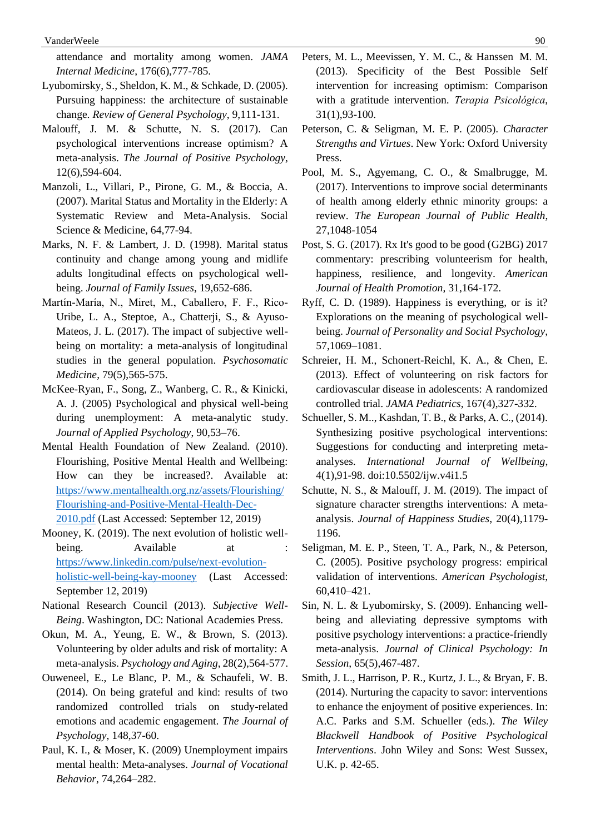attendance and mortality among women. *JAMA Internal Medicine*, 176(6),777-785.

- Lyubomirsky, S., Sheldon, K. M., & Schkade, D. (2005). Pursuing happiness: the architecture of sustainable change. *Review of General Psychology*, 9,111-131.
- Malouff, J. M. & Schutte, N. S. (2017). Can psychological interventions increase optimism? A meta-analysis. *The Journal of Positive Psychology*, 12(6),594-604.
- Manzoli, L., Villari, P., Pirone, G. M., & Boccia, A. (2007). Marital Status and Mortality in the Elderly: A Systematic Review and Meta-Analysis. Social Science & Medicine, 64,77-94.
- Marks, N. F. & Lambert, J. D. (1998). Marital status continuity and change among young and midlife adults longitudinal effects on psychological wellbeing. *Journal of Family Issues*, 19,652-686.
- Martín-María, N., Miret, M., Caballero, F. F., Rico-Uribe, L. A., Steptoe, A., Chatterji, S., & Ayuso-Mateos, J. L. (2017). The impact of subjective wellbeing on mortality: a meta-analysis of longitudinal studies in the general population. *Psychosomatic Medicine*, 79(5),565-575.
- McKee-Ryan, F., Song, Z., Wanberg, C. R., & Kinicki, A. J. (2005) Psychological and physical well-being during unemployment: A meta-analytic study. *Journal of Applied Psychology*, 90,53–76.
- Mental Health Foundation of New Zealand. (2010). Flourishing, Positive Mental Health and Wellbeing: How can they be increased?. Available at: [https://www.mentalhealth.org.nz/assets/Flourishing/](https://www.mentalhealth.org.nz/assets/Flourishing/Flourishing-and-Positive-Mental-Health-Dec-2010.pdf) [Flourishing-and-Positive-Mental-Health-Dec-](https://www.mentalhealth.org.nz/assets/Flourishing/Flourishing-and-Positive-Mental-Health-Dec-2010.pdf)[2010.pdf](https://www.mentalhealth.org.nz/assets/Flourishing/Flourishing-and-Positive-Mental-Health-Dec-2010.pdf) (Last Accessed: September 12, 2019)
- Mooney, K. (2019). The next evolution of holistic wellbeing. Available at : [https://www.linkedin.com/pulse/next-evolution](https://www.linkedin.com/pulse/next-evolution-holistic-well-being-kay-mooney)[holistic-well-being-kay-mooney](https://www.linkedin.com/pulse/next-evolution-holistic-well-being-kay-mooney) (Last Accessed: September 12, 2019)
- National Research Council (2013). *Subjective Well-Being*. Washington, DC: National Academies Press.
- Okun, M. A., Yeung, E. W., & Brown, S. (2013). Volunteering by older adults and risk of mortality: A meta-analysis. *Psychology and Aging*, 28(2),564-577.
- Ouweneel, E., Le Blanc, P. M., & Schaufeli, W. B. (2014). On being grateful and kind: results of two randomized controlled trials on study-related emotions and academic engagement. *The Journal of Psychology*, 148,37-60.
- Paul, K. I., & Moser, K. (2009) Unemployment impairs mental health: Meta-analyses. *Journal of Vocational Behavior*, 74,264–282.
- Peters, M. L., Meevissen, Y. M. C., & Hanssen M. M. (2013). Specificity of the Best Possible Self intervention for increasing optimism: Comparison with a gratitude intervention. *Terapia Psicológica*, 31(1),93-100.
- Peterson, C. & Seligman, M. E. P. (2005). *Character Strengths and Virtues*. New York: Oxford University Press.
- Pool, M. S., Agyemang, C. O., & Smalbrugge, M. (2017). Interventions to improve social determinants of health among elderly ethnic minority groups: a review. *The European Journal of Public Health*, 27,1048-1054
- Post, S. G. (2017). Rx It's good to be good (G2BG) 2017 commentary: prescribing volunteerism for health, happiness, resilience, and longevity. *American Journal of Health Promotion*, 31,164-172.
- Ryff, C. D. (1989). Happiness is everything, or is it? Explorations on the meaning of psychological wellbeing. *Journal of Personality and Social Psychology*, 57,1069–1081.
- Schreier, H. M., Schonert-Reichl, K. A., & Chen, E. (2013). Effect of volunteering on risk factors for cardiovascular disease in adolescents: A randomized controlled trial. *JAMA Pediatrics*, 167(4),327-332.
- Schueller, S. M.., Kashdan, T. B., & Parks, A. C., (2014). Synthesizing positive psychological interventions: Suggestions for conducting and interpreting metaanalyses. *International Journal of Wellbeing*, 4(1),91-98. doi:10.5502/ijw.v4i1.5
- Schutte, N. S., & Malouff, J. M. (2019). The impact of signature character strengths interventions: A metaanalysis. *Journal of Happiness Studies*, 20(4),1179- 1196.
- Seligman, M. E. P., Steen, T. A., Park, N., & Peterson, C. (2005). Positive psychology progress: empirical validation of interventions. *American Psychologist*, 60,410–421.
- Sin, N. L. & Lyubomirsky, S. (2009). Enhancing wellbeing and alleviating depressive symptoms with positive psychology interventions: a practice-friendly meta-analysis. *Journal of Clinical Psychology: In Session*, 65(5),467-487.
- Smith, J. L., Harrison, P. R., Kurtz, J. L., & Bryan, F. B. (2014). Nurturing the capacity to savor: interventions to enhance the enjoyment of positive experiences. In: A.C. Parks and S.M. Schueller (eds.). *The Wiley Blackwell Handbook of Positive Psychological Interventions*. John Wiley and Sons: West Sussex, U.K. p. 42-65.